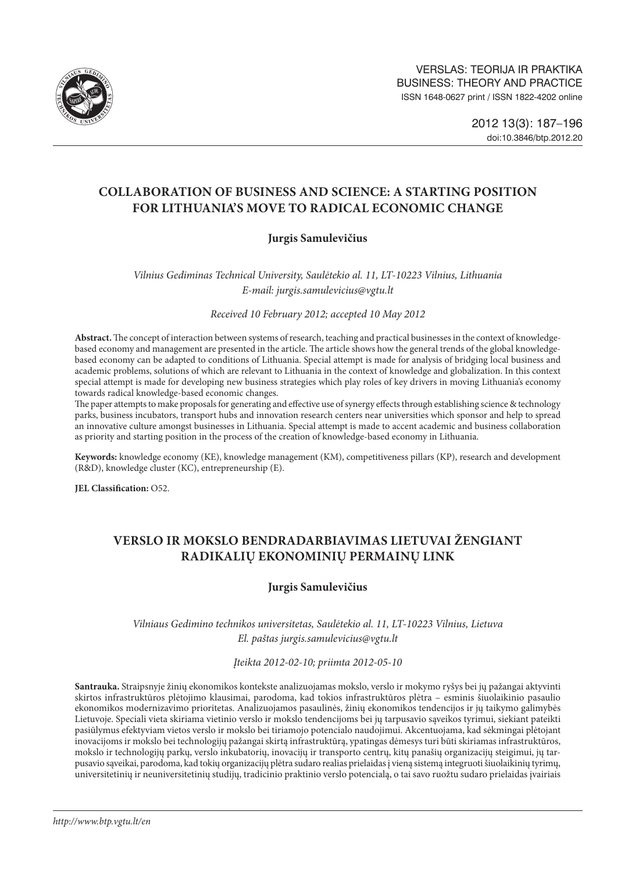

# **COLLABORATION OF BUSINESS AND SCIENCE: A STARTING POSITION FOR LITHUANIA'S MOVE TO RADICAL ECONOMIC CHANGE**

# **Jurgis Samulevičius**

*Vilnius Gediminas Technical University, Saulėtekio al. 11, LT-10223 Vilnius, Lithuania E-mail: [jurgis.samulevicius@vgtu.lt](mailto:jurgis.samulevicius@vgtu.lt)*

*Received 10 February 2012; accepted 10 May 2012*

**Abstract.** The concept of interaction between systems of research, teaching and practical businesses in the context of knowledgebased economy and management are presented in the article. The article shows how the general trends of the global knowledgebased economy can be adapted to conditions of Lithuania. Special attempt is made for analysis of bridging local business and academic problems, solutions of which are relevant to Lithuania in the context of knowledge and globalization. In this context special attempt is made for developing new business strategies which play roles of key drivers in moving Lithuania's economy towards radical knowledge-based economic changes.

The paper attempts to make proposals for generating and effective use of synergy effects through establishing science & technology parks, business incubators, transport hubs and innovation research centers near universities which sponsor and help to spread an innovative culture amongst businesses in Lithuania. Special attempt is made to accent academic and business collaboration as priority and starting position in the process of the creation of knowledge-based economy in Lithuania.

**Keywords:** knowledge economy (KE), knowledge management (KM), competitiveness pillars (KP), research and development (R&D), knowledge cluster (KC), entrepreneurship (E).

**JEL Classification:** O52.

# **VERSLO IR MOKSLO BENDRADARBIAVIMAS LIETUVAI ŽENGIANT RADIKALIŲ EKONOMINIŲ PERMAINŲ LINK**

# **Jurgis Samulevičius**

# *Vilniaus Gedimino technikos universitetas, Saulėtekio al. 11, LT-10223 Vilnius, Lietuva El. paštas jurgis.samulevicius@vgtu.lt*

#### *Įteikta 2012-02-10; priimta 2012-05-10*

**Santrauka.** Straipsnyje žinių ekonomikos kontekste analizuojamas mokslo, verslo ir mokymo ryšys bei jų pažangai aktyvinti skirtos infrastruktūros plėtojimo klausimai, parodoma, kad tokios infrastruktūros plėtra – esminis šiuolaikinio pasaulio ekonomikos modernizavimo prioritetas. Analizuojamos pasaulinės, žinių ekonomikos tendencijos ir jų taikymo galimybės Lietuvoje. Speciali vieta skiriama vietinio verslo ir mokslo tendencijoms bei jų tarpusavio sąveikos tyrimui, siekiant pateikti pasiūlymus efektyviam vietos verslo ir mokslo bei tiriamojo potencialo naudojimui. Akcentuojama, kad sėkmingai plėtojant inovacijoms ir mokslo bei technologijų pažangai skirtą infrastruktūrą, ypatingas dėmesys turi būti skiriamas infrastruktūros, mokslo ir technologijų parkų, verslo inkubatorių, inovacijų ir transporto centrų, kitų panašių organizacijų steigimui, jų tarpusavio sąveikai, parodoma, kad tokių organizacijų plėtra sudaro realias prielaidas į vieną sistemą integruoti šiuolaikinių tyrimų, universitetinių ir neuniversitetinių studijų, tradicinio praktinio verslo potencialą, o tai savo ruožtu sudaro prielaidas įvairiais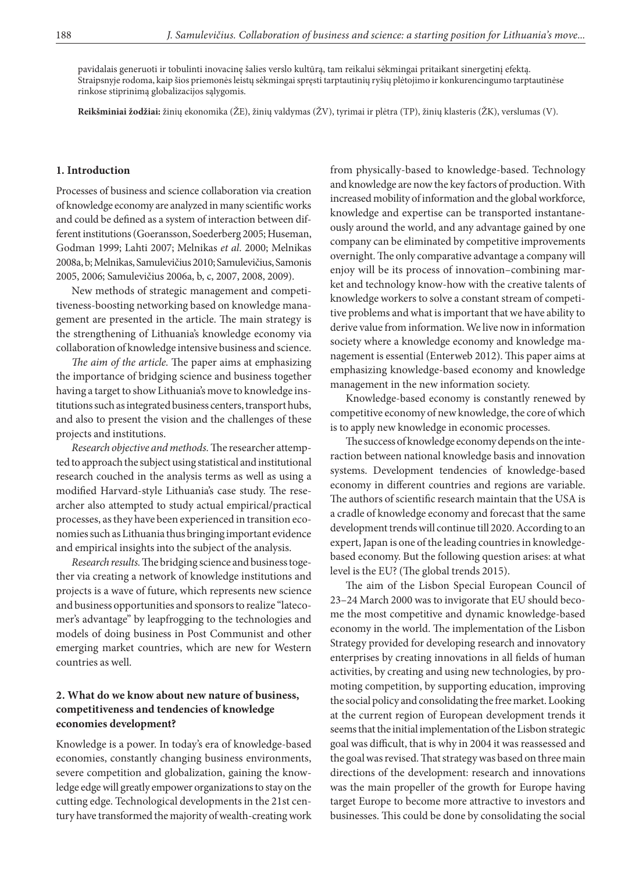pavidalais generuoti ir tobulinti inovacinę šalies verslo kultūrą, tam reikalui sėkmingai pritaikant sinergetinį efektą. Straipsnyje rodoma, kaip šios priemonės leistų sėkmingai spręsti tarptautinių ryšių plėtojimo ir konkurencingumo tarptautinėse rinkose stiprinimą globalizacijos sąlygomis.

**Reikšminiai žodžiai:** žinių ekonomika (ŽE), žinių valdymas (ŽV), tyrimai ir plėtra (TP), žinių klasteris (ŽK), verslumas (V).

#### **1. Introduction**

Processes of business and science collaboration via creation of knowledge economy are analyzed in many scientific works and could be defined as a system of interaction between different institutions (Goeransson, Soederberg 2005; Huseman, Godman 1999; Lahti 2007; Melnikas *et al*. 2000; Melnikas 2008a, b; Melnikas, Samulevičius 2010; Samulevičius, Samonis 2005, 2006; Samulevičius 2006a, b, c, 2007, 2008, 2009).

New methods of strategic management and competitiveness-boosting networking based on knowledge management are presented in the article. The main strategy is the strengthening of Lithuania's knowledge economy via collaboration of knowledge intensive business and science.

*The aim of the article.* The paper aims at emphasizing the importance of bridging science and business together having a target to show Lithuania's move to knowledge institutions such as integrated business centers, transport hubs, and also to present the vision and the challenges of these projects and institutions.

*Research objective and methods.* The researcher attempted to approach the subject using statistical and institutional research couched in the analysis terms as well as using a modified Harvard-style Lithuania's case study. The researcher also attempted to study actual empirical/practical processes, as they have been experienced in transition economies such as Lithuania thus bringing important evidence and empirical insights into the subject of the analysis.

*Research results.*The bridging science and business together via creating a network of knowledge institutions and projects is a wave of future, which represents new science and business opportunities and sponsors to realize "latecomer's advantage" by leapfrogging to the technologies and models of doing business in Post Communist and other emerging market countries, which are new for Western countries as well.

### **2. What do we know about new nature of business, competitiveness and tendencies of knowledge economies development?**

Knowledge is a power. In today's era of knowledge-based economies, constantly changing business environments, severe competition and globalization, gaining the knowledge edge will greatly empower organizations to stay on the cutting edge. Technological developments in the 21st century have transformed the majority of wealth-creating work from physically-based to knowledge-based. Technology and knowledge are now the key factors of production. With increased mobility of information and the global workforce, knowledge and expertise can be transported instantaneously around the world, and any advantage gained by one company can be eliminated by competitive improvements overnight. The only comparative advantage a company will enjoy will be its process of innovation–combining market and technology know-how with the creative talents of knowledge workers to solve a constant stream of competitive problems and what is important that we have ability to derive value from information. We live now in information society where a knowledge economy and knowledge management is essential (Enterweb 2012). This paper aims at emphasizing knowledge-based economy and knowledge management in the new information society.

Knowledge-based economy is constantly renewed by competitive economy of new knowledge, the core of which is to apply new knowledge in economic processes.

The success of knowledge economy depends on the interaction between national knowledge basis and innovation systems. Development tendencies of knowledge-based economy in different countries and regions are variable. The authors of scientific research maintain that the USA is a cradle of knowledge economy and forecast that the same development trends will continue till 2020. According to an expert, Japan is one of the leading countries in knowledgebased economy. But the following question arises: at what level is the EU? (The global trends 2015).

The aim of the Lisbon Special European Council of 23–24 March 2000 was to invigorate that EU should become the most competitive and dynamic knowledge-based economy in the world. The implementation of the Lisbon Strategy provided for developing research and innovatory enterprises by creating innovations in all fields of human activities, by creating and using new technologies, by promoting competition, by supporting education, improving the social policy and consolidating the free market. Looking at the current region of European development trends it seems that the initial implementation of the Lisbon strategic goal was difficult, that is why in 2004 it was reassessed and the goal was revised. That strategy was based on three main directions of the development: research and innovations was the main propeller of the growth for Europe having target Europe to become more attractive to investors and businesses. This could be done by consolidating the social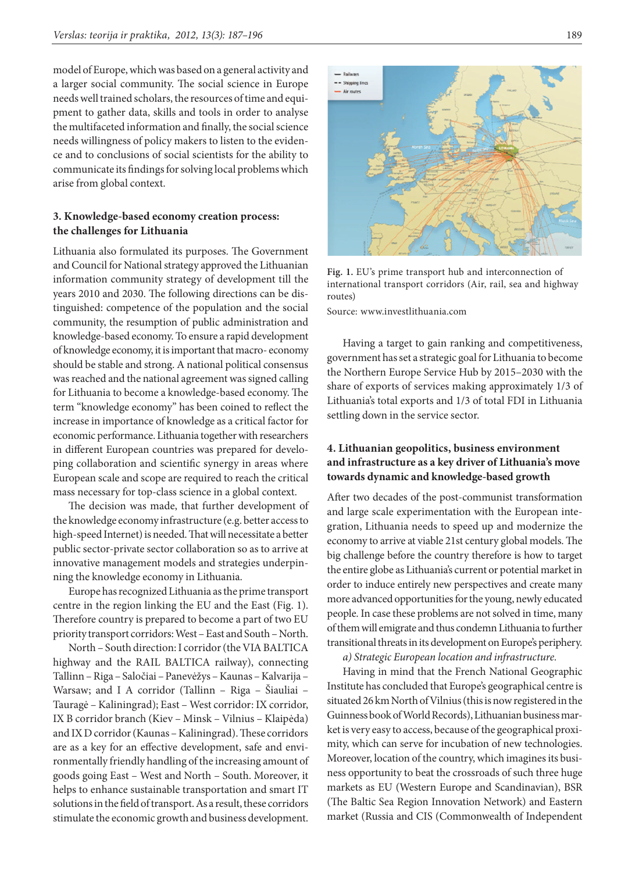model of Europe, which was based on a general activity and a larger social community. The social science in Europe needs well trained scholars, the resources of time and equipment to gather data, skills and tools in order to analyse the multifaceted information and finally, the social science needs willingness of policy makers to listen to the evidence and to conclusions of social scientists for the ability to communicate its findings for solving local problems which arise from global context.

# **3. Knowledge-based economy creation process: the challenges for Lithuania**

Lithuania also formulated its purposes. The Government and Council for National strategy approved the Lithuanian information community strategy of development till the years 2010 and 2030. The following directions can be distinguished: competence of the population and the social community, the resumption of public administration and knowledge-based economy. To ensure a rapid development of knowledge economy, it is important that macro- economy should be stable and strong. A national political consensus was reached and the national agreement was signed calling for Lithuania to become a knowledge-based economy. The term "knowledge economy" has been coined to reflect the increase in importance of knowledge as a critical factor for economic performance. Lithuania together with researchers in different European countries was prepared for developing collaboration and scientific synergy in areas where European scale and scope are required to reach the critical mass necessary for top-class science in a global context.

The decision was made, that further development of the knowledge economy infrastructure (e.g. better access to high-speed Internet) is needed. That will necessitate a better public sector-private sector collaboration so as to arrive at innovative management models and strategies underpinning the knowledge economy in Lithuania.

Europe has recognized Lithuania as the prime transport centre in the region linking the EU and the East (Fig. 1). Therefore country is prepared to become a part of two EU priority transport corridors: West – East and South – North.

North – South direction: I corridor (the VIA BALTICA highway and the RAIL BALTICA railway), connecting Tallinn – Riga – Saločiai – Panevėžys – Kaunas – Kalvarija – Warsaw; and I A corridor (Tallinn – Riga – Šiauliai – Tauragė – Kaliningrad); East – West corridor: IX corridor, IX B corridor branch (Kiev – Minsk – Vilnius – Klaipėda) and IX D corridor (Kaunas – Kaliningrad). These corridors are as a key for an effective development, safe and environmentally friendly handling of the increasing amount of goods going East – West and North – South. Moreover, it helps to enhance sustainable transportation and smart IT solutions in the field of transport. As a result, these corridors stimulate the economic growth and business development.



**Fig. 1.** EU's prime transport hub and interconnection of international transport corridors (Air, rail, sea and highway routes)

Source: www.investlithuania.com

Having a target to gain ranking and competitiveness, government has set a strategic goal for Lithuania to become the Northern Europe Service Hub by 2015–2030 with the share of exports of services making approximately 1/3 of Lithuania's total exports and 1/3 of total FDI in Lithuania settling down in the service sector.

## **4. Lithuanian geopolitics, business environment and infrastructure as a key driver of Lithuania's move towards dynamic and knowledge-based growth**

After two decades of the post-communist transformation and large scale experimentation with the European integration, Lithuania needs to speed up and modernize the economy to arrive at viable 21st century global models. The big challenge before the country therefore is how to target the entire globe as Lithuania's current or potential market in order to induce entirely new perspectives and create many more advanced opportunities for the young, newly educated people. In case these problems are not solved in time, many of them will emigrate and thus condemn Lithuania to further transitional threats in its development on Europe's periphery.

*a) Strategic European location and infrastructure.*

Having in mind that the French National Geographic Institute has concluded that Europe's geographical centre is situated 26 km North of Vilnius (this is now registered in the Guinness book of World Records), Lithuanian business market is very easy to access, because of the geographical proximity, which can serve for incubation of new technologies. Moreover, location of the country, which imagines its business opportunity to beat the crossroads of such three huge markets as EU (Western Europe and Scandinavian), BSR (The Baltic Sea Region Innovation Network) and Eastern market (Russia and CIS (Commonwealth of Independent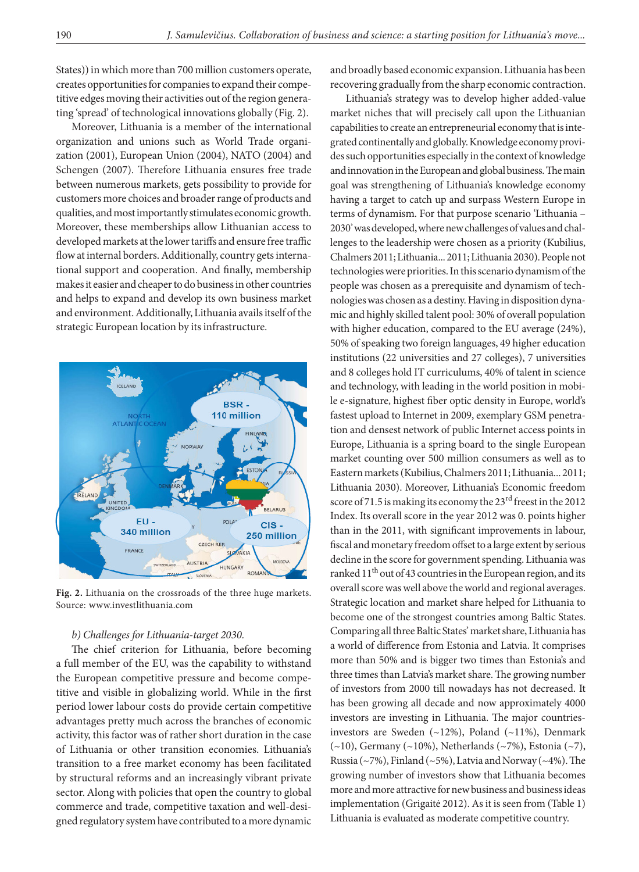States)) in which more than 700 million customers operate, creates opportunities for companies to expand their competitive edges moving their activities out of the region generating 'spread' of technological innovations globally (Fig. 2).

Moreover, Lithuania is a member of the international organization and unions such as World Trade organization (2001), European Union (2004), NATO (2004) and Schengen (2007). Therefore Lithuania ensures free trade between numerous markets, gets possibility to provide for customers more choices and broader range of products and qualities, and most importantly stimulates economic growth. Moreover, these memberships allow Lithuanian access to developed markets at the lower tariffs and ensure free traffic flow at internal borders. Additionally, country gets international support and cooperation. And finally, membership makes it easier and cheaper to do business in other countries and helps to expand and develop its own business market and environment. Additionally, Lithuania avails itself of the strategic European location by its infrastructure.



**Fig. 2.** Lithuania on the crossroads of the three huge markets. Source: www.investlithuania.com

#### *b) Challenges for Lithuania-target 2030.*

The chief criterion for Lithuania, before becoming a full member of the EU, was the capability to withstand the European competitive pressure and become competitive and visible in globalizing world. While in the first period lower labour costs do provide certain competitive advantages pretty much across the branches of economic activity, this factor was of rather short duration in the case of Lithuania or other transition economies. Lithuania's transition to a free market economy has been facilitated by structural reforms and an increasingly vibrant private sector. Along with policies that open the country to global commerce and trade, competitive taxation and well-designed regulatory system have contributed to a more dynamic and broadly based economic expansion. Lithuania has been recovering gradually from the sharp economic contraction.

Lithuania's strategy was to develop higher added-value market niches that will precisely call upon the Lithuanian capabilities to create an entrepreneurial economy that is integrated continentally and globally. Knowledge economy provides such opportunities especially in the context of knowledge and innovation in the European and global business. The main goal was strengthening of Lithuania's knowledge economy having a target to catch up and surpass Western Europe in terms of dynamism. For that purpose scenario 'Lithuania – 2030' was developed, where new challenges of values and challenges to the leadership were chosen as a priority (Kubilius, Chalmers 2011; Lithuania... 2011; Lithuania 2030). People not technologies were priorities. In this scenario dynamism of the people was chosen as a prerequisite and dynamism of technologies was chosen as a destiny. Having in disposition dynamic and highly skilled talent pool: 30% of overall population with higher education, compared to the EU average (24%), 50% of speaking two foreign languages, 49 higher education institutions (22 universities and 27 colleges), 7 universities and 8 colleges hold IT curriculums, 40% of talent in science and technology, with leading in the world position in mobile e-signature, highest fiber optic density in Europe, world's fastest upload to Internet in 2009, exemplary GSM penetration and densest network of public Internet access points in Europe, Lithuania is a spring board to the single European market counting over 500 million consumers as well as to Eastern markets (Kubilius, Chalmers 2011; Lithuania... 2011; Lithuania 2030). Moreover, Lithuania's Economic freedom score of 71.5 is making its economy the 23<sup>rd</sup> freest in the 2012 Index. Its overall score in the year 2012 was 0. points higher than in the 2011, with significant improvements in labour, fiscal and monetary freedom offset to a large extent by serious decline in the score for government spending. Lithuania was ranked 11<sup>th</sup> out of 43 countries in the European region, and its overall score was well above the world and regional averages. Strategic location and market share helped for Lithuania to become one of the strongest countries among Baltic States. Comparing all three Baltic States' market share, Lithuania has a world of difference from Estonia and Latvia. It comprises more than 50% and is bigger two times than Estonia's and three times than Latvia's market share. The growing number of investors from 2000 till nowadays has not decreased. It has been growing all decade and now approximately 4000 investors are investing in Lithuania. The major countriesinvestors are Sweden (~12%), Poland (~11%), Denmark (~10), Germany (~10%), Netherlands (~7%), Estonia (~7), Russia (~7%), Finland (~5%), Latvia and Norway (~4%). The growing number of investors show that Lithuania becomes more and more attractive for new business and business ideas implementation (Grigaitė 2012). As it is seen from (Table 1) Lithuania is evaluated as moderate competitive country.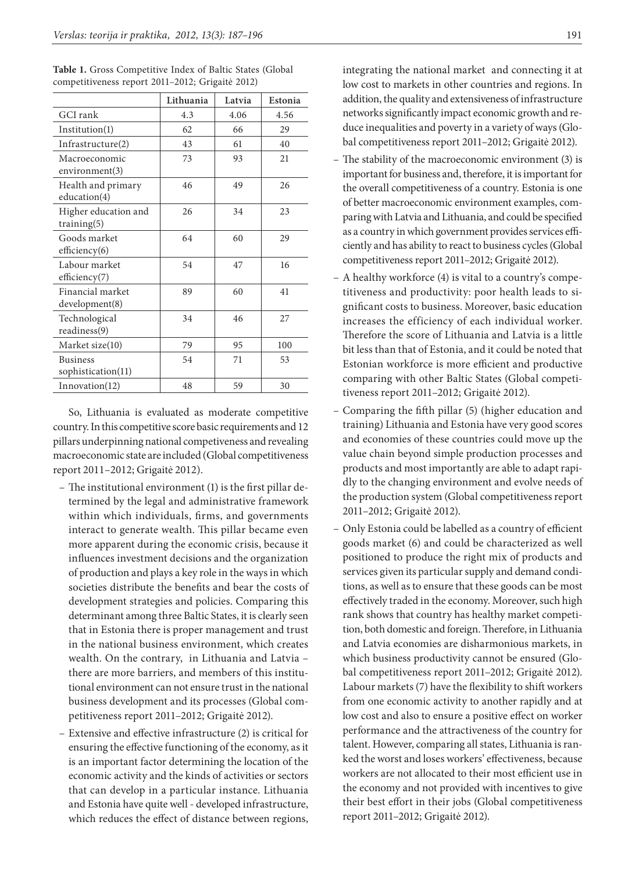|                                       | Lithuania | Latvia | Estonia |
|---------------------------------------|-----------|--------|---------|
| GCI rank                              | 4.3       | 4.06   | 4.56    |
| Institution(1)                        | 62        | 66     | 29      |
| Infrastructure(2)                     | 43        | 61     | 40      |
| Macroeconomic<br>environment(3)       | 73        | 93     | 21      |
| Health and primary<br>education(4)    | 46        | 49     | 26      |
| Higher education and<br>training(5)   | 26        | 34     | 23      |
| Goods market<br>efficiency $(6)$      | 64        | 60     | 29      |
| Labour market<br>efficiency(7)        | 54        | 47     | 16      |
| Financial market<br>development(8)    | 89        | 60     | 41      |
| Technological<br>readiness(9)         | 34        | 46     | 27      |
| Market size(10)                       | 79        | 95     | 100     |
| <b>Business</b><br>sophistication(11) | 54        | 71     | 53      |
| In novation(12)                       | 48        | 59     | 30      |

| Table 1. Gross Competitive Index of Baltic States (Global |  |
|-----------------------------------------------------------|--|
| competitiveness report 2011–2012; Grigaitė 2012)          |  |

So, Lithuania is evaluated as moderate competitive country. In this competitive score basic requirements and 12 pillars underpinning national competiveness and revealing macroeconomic state are included (Global competitiveness report 2011–2012; Grigaitė 2012).

- The institutional environment (1) is the first pillar determined by the legal and administrative framework within which individuals, firms, and governments interact to generate wealth. This pillar became even more apparent during the economic crisis, because it influences investment decisions and the organization of production and plays a key role in the ways in which societies distribute the benefits and bear the costs of development strategies and policies. Comparing this determinant among three Baltic States, it is clearly seen that in Estonia there is proper management and trust in the national business environment, which creates wealth. On the contrary, in Lithuania and Latvia – there are more barriers, and members of this institutional environment can not ensure trust in the national business development and its processes (Global competitiveness report 2011–2012; Grigaitė 2012).
- Extensive and effective infrastructure (2) is critical for ensuring the effective functioning of the economy, as it is an important factor determining the location of the economic activity and the kinds of activities or sectors that can develop in a particular instance. Lithuania and Estonia have quite well - developed infrastructure, which reduces the effect of distance between regions,

integrating the national market and connecting it at low cost to markets in other countries and regions. In addition, the quality and extensiveness of infrastructure networks significantly impact economic growth and reduce inequalities and poverty in a variety of ways (Global competitiveness report 2011–2012; Grigaitė 2012).

- The stability of the macroeconomic environment (3) is important for business and, therefore, it is important for the overall competitiveness of a country. Estonia is one of better macroeconomic environment examples, comparing with Latvia and Lithuania, and could be specified as a country in which government provides services efficiently and has ability to react to business cycles (Global competitiveness report 2011–2012; Grigaitė 2012).
- A healthy workforce (4) is vital to a country's competitiveness and productivity: poor health leads to significant costs to business. Moreover, basic education increases the efficiency of each individual worker. Therefore the score of Lithuania and Latvia is a little bit less than that of Estonia, and it could be noted that Estonian workforce is more efficient and productive comparing with other Baltic States (Global competitiveness report 2011–2012; Grigaitė 2012).
- Comparing the fifth pillar (5) (higher education and training) Lithuania and Estonia have very good scores and economies of these countries could move up the value chain beyond simple production processes and products and most importantly are able to adapt rapidly to the changing environment and evolve needs of the production system (Global competitiveness report 2011–2012; Grigaitė 2012).
- Only Estonia could be labelled as a country of efficient goods market (6) and could be characterized as well positioned to produce the right mix of products and services given its particular supply and demand conditions, as well as to ensure that these goods can be most effectively traded in the economy. Moreover, such high rank shows that country has healthy market competition, both domestic and foreign. Therefore, in Lithuania and Latvia economies are disharmonious markets, in which business productivity cannot be ensured (Global competitiveness report 2011–2012; Grigaitė 2012). Labour markets (7) have the flexibility to shift workers from one economic activity to another rapidly and at low cost and also to ensure a positive effect on worker performance and the attractiveness of the country for talent. However, comparing all states, Lithuania is ranked the worst and loses workers' effectiveness, because workers are not allocated to their most efficient use in the economy and not provided with incentives to give their best effort in their jobs (Global competitiveness report 2011–2012; Grigaitė 2012).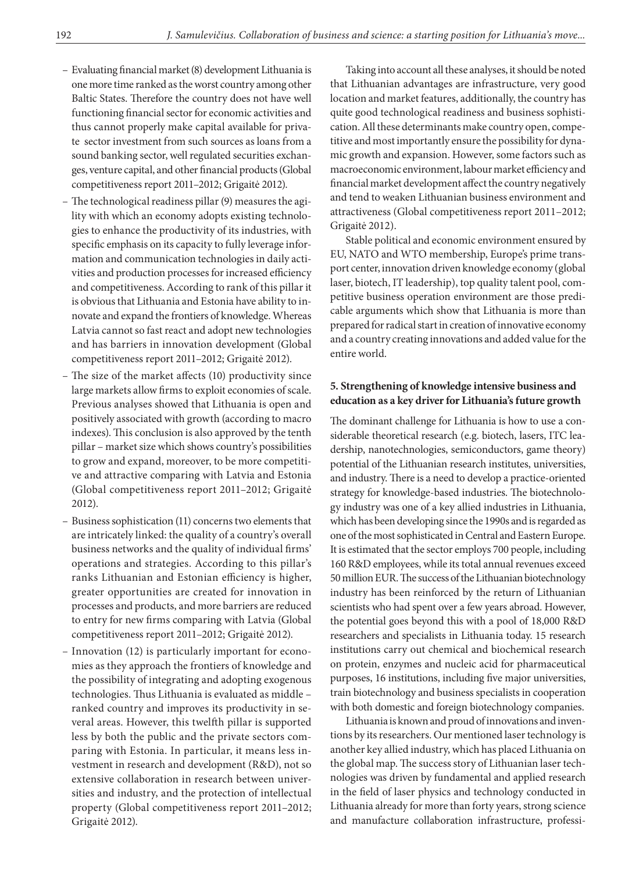- Evaluating financial market (8) development Lithuania is one more time ranked as the worst country among other Baltic States. Therefore the country does not have well functioning financial sector for economic activities and thus cannot properly make capital available for private sector investment from such sources as loans from a sound banking sector, well regulated securities exchanges, venture capital, and other financial products (Global competitiveness report 2011–2012; Grigaitė 2012).
- The technological readiness pillar (9) measures the agility with which an economy adopts existing technologies to enhance the productivity of its industries, with specific emphasis on its capacity to fully leverage information and communication technologies in daily activities and production processes for increased efficiency and competitiveness. According to rank of this pillar it is obvious that Lithuania and Estonia have ability to innovate and expand the frontiers of knowledge. Whereas Latvia cannot so fast react and adopt new technologies and has barriers in innovation development (Global competitiveness report 2011–2012; Grigaitė 2012).
- The size of the market affects (10) productivity since large markets allow firms to exploit economies of scale. Previous analyses showed that Lithuania is open and positively associated with growth (according to macro indexes). This conclusion is also approved by the tenth pillar – market size which shows country's possibilities to grow and expand, moreover, to be more competitive and attractive comparing with Latvia and Estonia (Global competitiveness report 2011–2012; Grigaitė 2012).
- Business sophistication (11) concerns two elements that are intricately linked: the quality of a country's overall business networks and the quality of individual firms' operations and strategies. According to this pillar's ranks Lithuanian and Estonian efficiency is higher, greater opportunities are created for innovation in processes and products, and more barriers are reduced to entry for new firms comparing with Latvia (Global competitiveness report 2011–2012; Grigaitė 2012).
- Innovation (12) is particularly important for economies as they approach the frontiers of knowledge and the possibility of integrating and adopting exogenous technologies. Thus Lithuania is evaluated as middle – ranked country and improves its productivity in several areas. However, this twelfth pillar is supported less by both the public and the private sectors comparing with Estonia. In particular, it means less investment in research and development (R&D), not so extensive collaboration in research between universities and industry, and the protection of intellectual property (Global competitiveness report 2011–2012; Grigaitė 2012).

Taking into account all these analyses, it should be noted that Lithuanian advantages are infrastructure, very good location and market features, additionally, the country has quite good technological readiness and business sophistication. All these determinants make country open, competitive and most importantly ensure the possibility for dynamic growth and expansion. However, some factors such as macroeconomic environment, labour market efficiency and financial market development affect the country negatively and tend to weaken Lithuanian business environment and attractiveness (Global competitiveness report 2011–2012; Grigaitė 2012).

Stable political and economic environment ensured by EU, NATO and WTO membership, Europe's prime transport center, innovation driven knowledge economy (global laser, biotech, IT leadership), top quality talent pool, competitive business operation environment are those predicable arguments which show that Lithuania is more than prepared for radical start in creation of innovative economy and a country creating innovations and added value for the entire world.

### **5. Strengthening of knowledge intensive business and education as a key driver for Lithuania's future growth**

The dominant challenge for Lithuania is how to use a considerable theoretical research (e.g. biotech, lasers, ITC leadership, nanotechnologies, semiconductors, game theory) potential of the Lithuanian research institutes, universities, and industry. There is a need to develop a practice-oriented strategy for knowledge-based industries. The biotechnology industry was one of a key allied industries in Lithuania, which has been developing since the 1990s and is regarded as one of the most sophisticated in Central and Eastern Europe. It is estimated that the sector employs 700 people, including 160 R&D employees, while its total annual revenues exceed 50 million EUR. The success of the Lithuanian biotechnology industry has been reinforced by the return of Lithuanian scientists who had spent over a few years abroad. However, the potential goes beyond this with a pool of 18,000 R&D researchers and specialists in Lithuania today. 15 research institutions carry out chemical and biochemical research on protein, enzymes and nucleic acid for pharmaceutical purposes, 16 institutions, including five major universities, train biotechnology and business specialists in cooperation with both domestic and foreign biotechnology companies.

Lithuania is known and proud of innovations and inventions by its researchers. Our mentioned laser technology is another key allied industry, which has placed Lithuania on the global map. The success story of Lithuanian laser technologies was driven by fundamental and applied research in the field of laser physics and technology conducted in Lithuania already for more than forty years, strong science and manufacture collaboration infrastructure, professi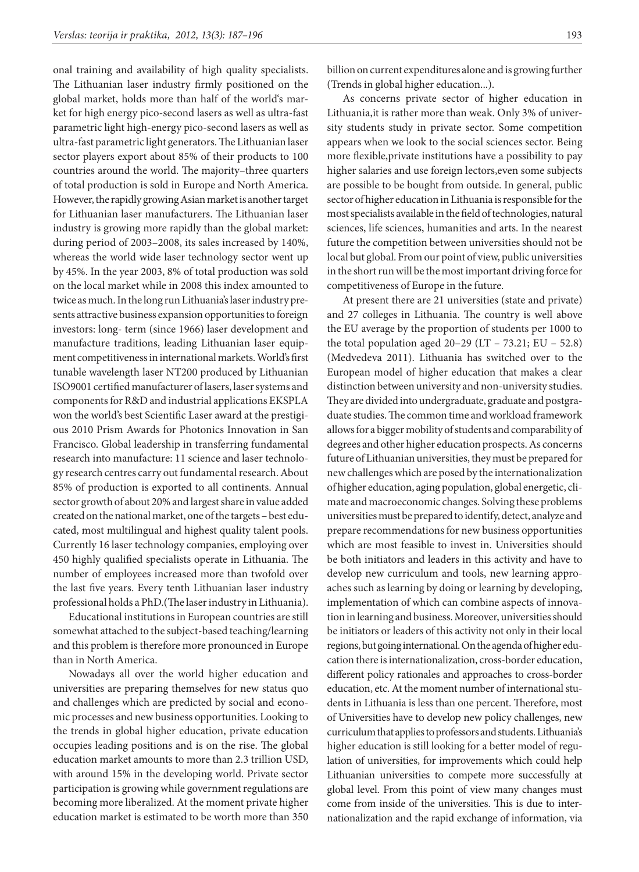onal training and availability of high quality specialists. The Lithuanian laser industry firmly positioned on the global market, holds more than half of the world's market for high energy pico-second lasers as well as ultra-fast parametric light high-energy pico-second lasers as well as ultra-fast parametric light generators. The Lithuanian laser sector players export about 85% of their products to 100 countries around the world. The majority–three quarters of total production is sold in Europe and North America. However, the rapidly growing Asian market is another target for Lithuanian laser manufacturers. The Lithuanian laser industry is growing more rapidly than the global market: during period of 2003–2008, its sales increased by 140%, whereas the world wide laser technology sector went up by 45%. In the year 2003, 8% of total production was sold on the local market while in 2008 this index amounted to twice as much. In the long run Lithuania's laser industry presents attractive business expansion opportunities to foreign investors: long- term (since 1966) laser development and manufacture traditions, leading Lithuanian laser equipment competitiveness in international markets. World's first tunable wavelength laser NT200 produced by Lithuanian ISO9001 certified manufacturer of lasers, laser systems and components for R&D and industrial applications EKSPLA won the world's best Scientific Laser award at the prestigious 2010 Prism Awards for Photonics Innovation in San Francisco. Global leadership in transferring fundamental research into manufacture: 11 science and laser technology research centres carry out fundamental research. About 85% of production is exported to all continents. Annual sector growth of about 20% and largest share in value added created on the national market, one of the targets – best educated, most multilingual and highest quality talent pools. Currently 16 laser technology companies, employing over 450 highly qualified specialists operate in Lithuania. The number of employees increased more than twofold over the last five years. Every tenth Lithuanian laser industry professional holds a PhD.(The laser industry in Lithuania).

Educational institutions in European countries are still somewhat attached to the subject-based teaching/learning and this problem is therefore more pronounced in Europe than in North America.

Nowadays all over the world higher education and universities are preparing themselves for new status quo and challenges which are predicted by social and economic processes and new business opportunities. Looking to the trends in global higher education, private education occupies leading positions and is on the rise. The global education market amounts to more than 2.3 trillion USD, with around 15% in the developing world. Private sector participation is growing while government regulations are becoming more liberalized. At the moment private higher education market is estimated to be worth more than 350

billion on current expenditures alone and is growing further (Trends in global higher education...).

As concerns private sector of higher education in Lithuania,it is rather more than weak. Only 3% of university students study in private sector. Some competition appears when we look to the social sciences sector. Being more flexible,private institutions have a possibility to pay higher salaries and use foreign lectors,even some subjects are possible to be bought from outside. In general, public sector of higher education in Lithuania is responsible for the most specialists available in the field of technologies, natural sciences, life sciences, humanities and arts. In the nearest future the competition between universities should not be local but global. From our point of view, public universities in the short run will be the most important driving force for competitiveness of Europe in the future.

At present there are 21 universities (state and private) and 27 colleges in Lithuania. The country is well above the EU average by the proportion of students per 1000 to the total population aged  $20-29$  (LT – 73.21; EU – 52.8) (Medvedeva 2011). Lithuania has switched over to the European model of higher education that makes a clear distinction between university and non-university studies. They are divided into undergraduate, graduate and postgraduate studies. The common time and workload framework allows for a bigger mobility of students and comparability of degrees and other higher education prospects. As concerns future of Lithuanian universities, they must be prepared for new challenges which are posed by the internationalization of higher education, aging population, global energetic, climate and macroeconomic changes. Solving these problems universities must be prepared to identify, detect, analyze and prepare recommendations for new business opportunities which are most feasible to invest in. Universities should be both initiators and leaders in this activity and have to develop new curriculum and tools, new learning approaches such as learning by doing or learning by developing, implementation of which can combine aspects of innovation in learning and business. Moreover, universities should be initiators or leaders of this activity not only in their local regions, but going international. On the agenda of higher education there is internationalization, cross-border education, different policy rationales and approaches to cross-border education, etc. At the moment number of international students in Lithuania is less than one percent. Therefore, most of Universities have to develop new policy challenges, new curriculum that applies to professors and students. Lithuania's higher education is still looking for a better model of regulation of universities, for improvements which could help Lithuanian universities to compete more successfully at global level. From this point of view many changes must come from inside of the universities. This is due to internationalization and the rapid exchange of information, via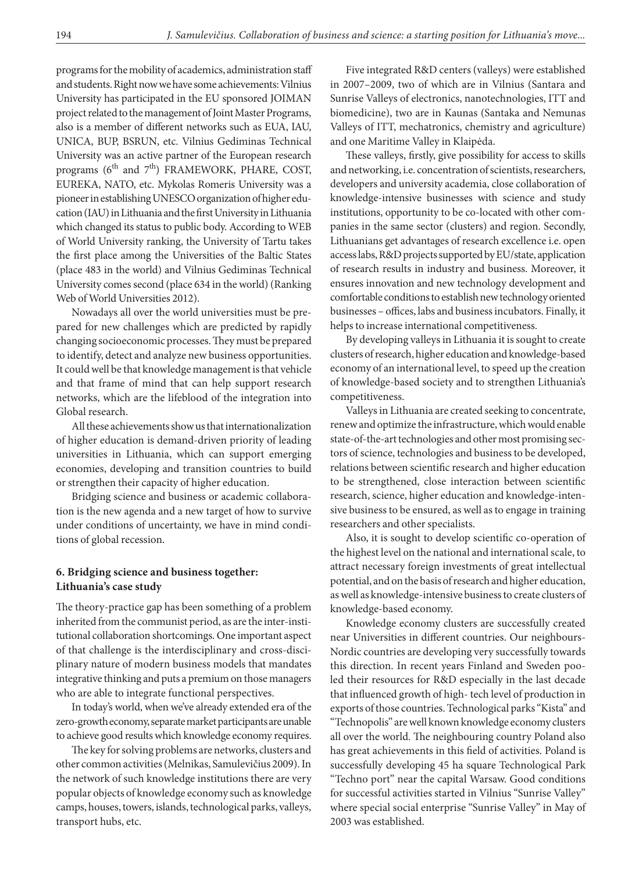programs for the mobility of academics, administration staff and students. Right now we have some achievements: Vilnius University has participated in the EU sponsored JOIMAN project related to the management of Joint Master Programs, also is a member of different networks such as EUA, IAU, UNICA, BUP, BSRUN, etc. Vilnius Gediminas Technical University was an active partner of the European research programs ( $6<sup>th</sup>$  and  $7<sup>th</sup>$ ) FRAMEWORK, PHARE, COST, EUREKA, NATO, etc. Mykolas Romeris University was a pioneer in establishing UNESCO organization of higher education (IAU) in Lithuania and the first University in Lithuania which changed its status to public body. According to WEB of World University ranking, the University of Tartu takes the first place among the Universities of the Baltic States (place 483 in the world) and Vilnius Gediminas Technical University comes second (place 634 in the world) (Ranking Web of World Universities 2012).

Nowadays all over the world universities must be prepared for new challenges which are predicted by rapidly changing socioeconomic processes. They must be prepared to identify, detect and analyze new business opportunities. It could well be that knowledge management is that vehicle and that frame of mind that can help support research networks, which are the lifeblood of the integration into Global research.

All these achievements show us that internationalization of higher education is demand-driven priority of leading universities in Lithuania, which can support emerging economies, developing and transition countries to build or strengthen their capacity of higher education.

Bridging science and business or academic collaboration is the new agenda and a new target of how to survive under conditions of uncertainty, we have in mind conditions of global recession.

### **6. Bridging science and business together: Lithuania's case study**

The theory-practice gap has been something of a problem inherited from the communist period, as are the inter-institutional collaboration shortcomings. One important aspect of that challenge is the interdisciplinary and cross-disciplinary nature of modern business models that mandates integrative thinking and puts a premium on those managers who are able to integrate functional perspectives.

In today's world, when we've already extended era of the zero-growth economy, separate market participants are unable to achieve good results which knowledge economy requires.

The key for solving problems are networks, clusters and other common activities (Melnikas, Samulevičius 2009). In the network of such knowledge institutions there are very popular objects of knowledge economy such as knowledge camps, houses, towers, islands, technological parks, valleys, transport hubs, etc.

Five integrated R&D centers (valleys) were established in 2007–2009, two of which are in Vilnius (Santara and Sunrise Valleys of electronics, nanotechnologies, ITT and biomedicine), two are in Kaunas (Santaka and Nemunas Valleys of ITT, mechatronics, chemistry and agriculture) and one Maritime Valley in Klaipėda.

These valleys, firstly, give possibility for access to skills and networking, i.e. concentration of scientists, researchers, developers and university academia, close collaboration of knowledge-intensive businesses with science and study institutions, opportunity to be co-located with other companies in the same sector (clusters) and region. Secondly, Lithuanians get advantages of research excellence i.e. open access labs, R&D projects supported by EU/state, application of research results in industry and business. Moreover, it ensures innovation and new technology development and comfortable conditions to establish new technology oriented businesses – offices, labs and business incubators. Finally, it helps to increase international competitiveness.

By developing valleys in Lithuania it is sought to create clusters of research, higher education and knowledge-based economy of an international level, to speed up the creation of knowledge-based society and to strengthen Lithuania's competitiveness.

Valleys in Lithuania are created seeking to concentrate, renew and optimize the infrastructure, which would enable state-of-the-art technologies and other most promising sectors of science, technologies and business to be developed, relations between scientific research and higher education to be strengthened, close interaction between scientific research, science, higher education and knowledge-intensive business to be ensured, as well as to engage in training researchers and other specialists.

Also, it is sought to develop scientific co-operation of the highest level on the national and international scale, to attract necessary foreign investments of great intellectual potential, and on the basis of research and higher education, as well as knowledge-intensive business to create clusters of knowledge-based economy.

Knowledge economy clusters are successfully created near Universities in different countries. Our neighbours-Nordic countries are developing very successfully towards this direction. In recent years Finland and Sweden pooled their resources for R&D especially in the last decade that influenced growth of high- tech level of production in exports of those countries. Technological parks "Kista" and "Technopolis" are well known knowledge economy clusters all over the world. The neighbouring country Poland also has great achievements in this field of activities. Poland is successfully developing 45 ha square Technological Park "Techno port" near the capital Warsaw. Good conditions for successful activities started in Vilnius "Sunrise Valley" where special social enterprise "Sunrise Valley" in May of 2003 was established.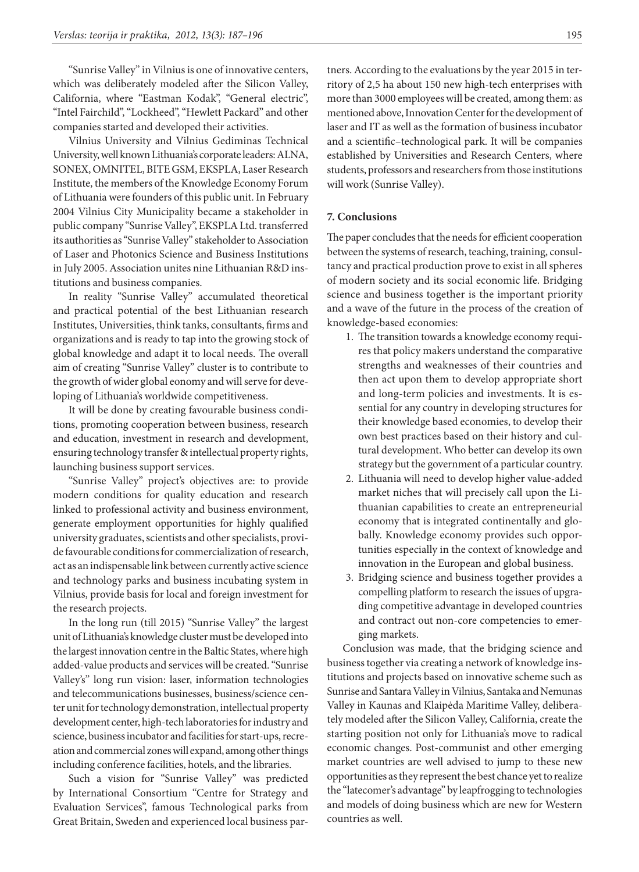"Sunrise Valley" in Vilnius is one of innovative centers, which was deliberately modeled after the Silicon Valley, California, where "Eastman Kodak", "General electric", "Intel Fairchild", "Lockheed", "Hewlett Packard" and other companies started and developed their activities.

Vilnius University and Vilnius Gediminas Technical University, well known Lithuania's corporate leaders: ALNA, SONEX, OMNITEL, BITE GSM, EKSPLA, Laser Research Institute, the members of the Knowledge Economy Forum of Lithuania were founders of this public unit. In February 2004 Vilnius City Municipality became a stakeholder in public company "Sunrise Valley", EKSPLA Ltd. transferred its authorities as "Sunrise Valley" stakeholder to Association of Laser and Photonics Science and Business Institutions in July 2005. Association unites nine Lithuanian R&D institutions and business companies.

In reality "Sunrise Valley" accumulated theoretical and practical potential of the best Lithuanian research Institutes, Universities, think tanks, consultants, firms and organizations and is ready to tap into the growing stock of global knowledge and adapt it to local needs. The overall aim of creating "Sunrise Valley" cluster is to contribute to the growth of wider global eonomy and will serve for developing of Lithuania's worldwide competitiveness.

It will be done by creating favourable business conditions, promoting cooperation between business, research and education, investment in research and development, ensuring technology transfer & intellectual property rights, launching business support services.

"Sunrise Valley" project's objectives are: to provide modern conditions for quality education and research linked to professional activity and business environment, generate employment opportunities for highly qualified university graduates, scientists and other specialists, provide favourable conditions for commercialization of research, act as an indispensable link between currently active science and technology parks and business incubating system in Vilnius, provide basis for local and foreign investment for the research projects.

In the long run (till 2015) "Sunrise Valley" the largest unit of Lithuania's knowledge cluster must be developed into the largest innovation centre in the Baltic States, where high added-value products and services will be created. "Sunrise Valley's" long run vision: laser, information technologies and telecommunications businesses, business/science center unit for technology demonstration, intellectual property development center, high-tech laboratories for industry and science, business incubator and facilities for start-ups, recreation and commercial zones will expand, among other things including conference facilities, hotels, and the libraries.

Such a vision for "Sunrise Valley" was predicted by International Consortium "Centre for Strategy and Evaluation Services", famous Technological parks from Great Britain, Sweden and experienced local business partners. According to the evaluations by the year 2015 in territory of 2,5 ha about 150 new high-tech enterprises with more than 3000 employees will be created, among them: as mentioned above, Innovation Center for the development of laser and IT as well as the formation of business incubator and a scientific–technological park. It will be companies established by Universities and Research Centers, where students, professors and researchers from those institutions will work (Sunrise Valley).

### **7. Conclusions**

The paper concludes that the needs for efficient cooperation between the systems of research, teaching, training, consultancy and practical production prove to exist in all spheres of modern society and its social economic life. Bridging science and business together is the important priority and a wave of the future in the process of the creation of knowledge-based economies:

- 1. The transition towards a knowledge economy requires that policy makers understand the comparative strengths and weaknesses of their countries and then act upon them to develop appropriate short and long-term policies and investments. It is essential for any country in developing structures for their knowledge based economies, to develop their own best practices based on their history and cultural development. Who better can develop its own strategy but the government of a particular country.
- 2. Lithuania will need to develop higher value-added market niches that will precisely call upon the Lithuanian capabilities to create an entrepreneurial economy that is integrated continentally and globally. Knowledge economy provides such opportunities especially in the context of knowledge and innovation in the European and global business.
- 3. Bridging science and business together provides a compelling platform to research the issues of upgrading competitive advantage in developed countries and contract out non-core competencies to emerging markets.

Conclusion was made, that the bridging science and business together via creating a network of knowledge institutions and projects based on innovative scheme such as Sunrise and Santara Valley in Vilnius, Santaka and Nemunas Valley in Kaunas and Klaipėda Maritime Valley, deliberately modeled after the Silicon Valley, California, create the starting position not only for Lithuania's move to radical economic changes. Post-communist and other emerging market countries are well advised to jump to these new opportunities as they represent the best chance yet to realize the "latecomer's advantage" by leapfrogging to technologies and models of doing business which are new for Western countries as well.